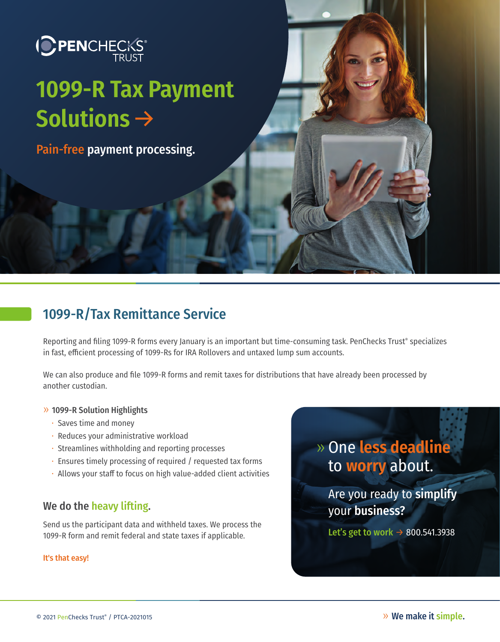# **ICPENCHECKS**

## **1099-R Tax Payment**  Solutions  $\rightarrow$

Pain-free payment processing.

## 1099-R/Tax Remittance Service

Reporting and filing 1099-R forms every January is an important but time-consuming task. PenChecks Trust® specializes in fast, efficient processing of 1099-Rs for IRA Rollovers and untaxed lump sum accounts.

We can also produce and file 1099-R forms and remit taxes for distributions that have already been processed by another custodian.

#### » 1099-R Solution Highlights

- Saves time and money
- Reduces your administrative workload
- Streamlines withholding and reporting processes
- Ensures timely processing of required / requested tax forms
- $\cdot$  Allows your staff to focus on high value-added client activities

#### We do the heavy lifting.

Send us the participant data and withheld taxes. We process the 1099-R form and remit federal and state taxes if applicable.

#### It's that easy!

» One **less deadline** to **worry** about.

> Are you ready to simplify your business?

Let's get to work  $\rightarrow$  800.541.3938